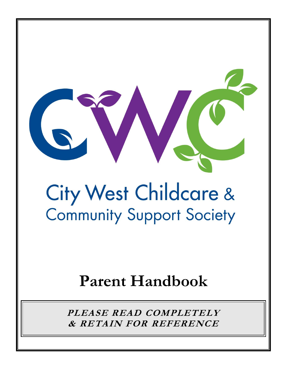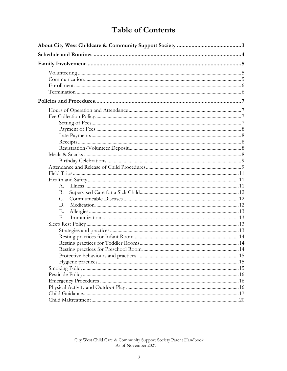# **Table of Contents**

| $A_{-}$     |  |  |  |
|-------------|--|--|--|
| <b>B.</b>   |  |  |  |
| $C_{\cdot}$ |  |  |  |
| D.          |  |  |  |
| Е.          |  |  |  |
| F.          |  |  |  |
|             |  |  |  |
|             |  |  |  |
|             |  |  |  |
|             |  |  |  |
|             |  |  |  |
|             |  |  |  |
|             |  |  |  |
|             |  |  |  |
|             |  |  |  |
|             |  |  |  |
|             |  |  |  |
|             |  |  |  |
|             |  |  |  |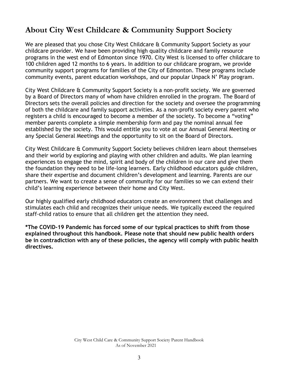# <span id="page-2-0"></span>**About City West Childcare & Community Support Society**

We are pleased that you chose City West Childcare & Community Support Society as your childcare provider. We have been providing high quality childcare and family resource programs in the west end of Edmonton since 1970. City West is licensed to offer childcare to 100 children aged 12 months to 6 years. In addition to our childcare program, we provide community support programs for families of the City of Edmonton. These programs include community events, parent education workshops, and our popular Unpack N' Play program.

City West Childcare & Community Support Society is a non-profit society. We are governed by a Board of Directors many of whom have children enrolled in the program. The Board of Directors sets the overall policies and direction for the society and oversee the programming of both the childcare and family support activities. As a non-profit society every parent who registers a child is encouraged to become a member of the society. To become a "voting" member parents complete a simple membership form and pay the nominal annual fee established by the society. This would entitle you to vote at our Annual General Meeting or any Special General Meetings and the opportunity to sit on the Board of Directors.

City West Childcare & Community Support Society believes children learn about themselves and their world by exploring and playing with other children and adults. We plan learning experiences to engage the mind, spirit and body of the children in our care and give them the foundation they need to be life-long learners. Early childhood educators guide children, share their expertise and document children's development and learning. Parents are our partners. We want to create a sense of community for our families so we can extend their child's learning experience between their home and City West.

Our highly qualified early childhood educators create an environment that challenges and stimulates each child and recognizes their unique needs. We typically exceed the required staff-child ratios to ensure that all children get the attention they need.

**\*The COVID-19 Pandemic has forced some of our typical practices to shift from those explained throughout this handbook. Please note that should new public health orders be in contradiction with any of these policies, the agency will comply with public health directives.**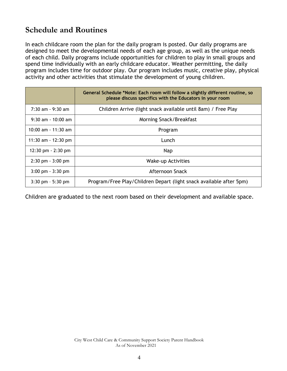# <span id="page-3-0"></span>**Schedule and Routines**

In each childcare room the plan for the daily program is posted. Our daily programs are designed to meet the developmental needs of each age group, as well as the unique needs of each child. Daily programs include opportunities for children to play in small groups and spend time individually with an early childcare educator. Weather permitting, the daily program includes time for outdoor play. Our program includes music, creative play, physical activity and other activities that stimulate the development of young children.

|                                      | General Schedule *Note: Each room will follow a slightly different routine, so<br>please discuss specifics with the Educators in your room |
|--------------------------------------|--------------------------------------------------------------------------------------------------------------------------------------------|
| $7:30$ am - 9:30 am                  | Children Arrive (light snack available until 8am) / Free Play                                                                              |
| $9:30$ am - 10:00 am                 | Morning Snack/Breakfast                                                                                                                    |
| 10:00 am $-$ 11:30 am                | Program                                                                                                                                    |
| 11:30 am $-$ 12:30 pm                | Lunch                                                                                                                                      |
| $12:30 \text{ pm} - 2:30 \text{ pm}$ | <b>Nap</b>                                                                                                                                 |
| $2:30 \text{ pm} - 3:00 \text{ pm}$  | Wake-up Activities                                                                                                                         |
| $3:00 \text{ pm} - 3:30 \text{ pm}$  | Afternoon Snack                                                                                                                            |
| $3:30$ pm $-5:30$ pm                 | Program/Free Play/Children Depart (light snack available after 5pm)                                                                        |

Children are graduated to the next room based on their development and available space.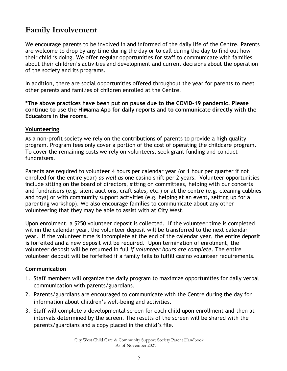# <span id="page-4-0"></span>**Family Involvement**

We encourage parents to be involved in and informed of the daily life of the Centre. Parents are welcome to drop by any time during the day or to call during the day to find out how their child is doing. We offer regular opportunities for staff to communicate with families about their children's activities and development and current decisions about the operation of the society and its programs.

In addition, there are social opportunities offered throughout the year for parents to meet other parents and families of children enrolled at the Centre.

**\*The above practices have been put on pause due to the COVID-19 pandemic. Please continue to use the HiMama App for daily reports and to communicate directly with the Educators in the rooms.**

#### <span id="page-4-1"></span>**Volunteering**

As a non-profit society we rely on the contributions of parents to provide a high quality program. Program fees only cover a portion of the cost of operating the childcare program. To cover the remaining costs we rely on volunteers, seek grant funding and conduct fundraisers.

Parents are required to volunteer 4 hours per calendar year (or 1 hour per quarter if not enrolled for the entire year) *as well as* one casino shift per 2 years. Volunteer opportunities include sitting on the board of directors, sitting on committees, helping with our concerts and fundraisers (e.g. silent auctions, craft sales, etc.) or at the centre (e.g. cleaning cubbies and toys) or with community support activities (e.g. helping at an event, setting up for a parenting workshop). We also encourage families to communicate about any other volunteering that they may be able to assist with at City West.

Upon enrolment, a \$250 volunteer deposit is collected. If the volunteer time is completed within the calendar year, the volunteer deposit will be transferred to the next calendar year. If the volunteer time is incomplete at the end of the calendar year, the entire deposit is forfeited and a new deposit will be required. Upon termination of enrolment, the volunteer deposit will be returned in full *if volunteer hours are complete*. The entire volunteer deposit will be forfeited if a family fails to fulfill casino volunteer requirements.

#### <span id="page-4-2"></span>**Communication**

- 1. Staff members will organize the daily program to maximize opportunities for daily verbal communication with parents/guardians.
- 2. Parents/guardians are encouraged to communicate with the Centre during the day for information about children's well-being and activities.
- 3. Staff will complete a developmental screen for each child upon enrollment and then at intervals determined by the screen. The results of the screen will be shared with the parents/guardians and a copy placed in the child's file.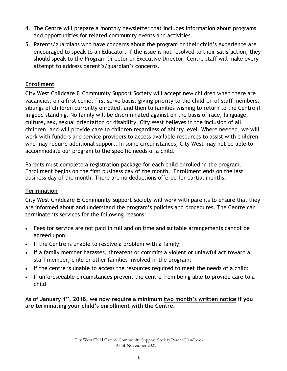- 4. The Centre will prepare a monthly newsletter that includes information about programs and opportunities for related community events and activities.
- 5. Parents/guardians who have concerns about the program or their child's experience are encouraged to speak to an Educator. If the issue is not resolved to their satisfaction, they should speak to the Program Director or Executive Director. Centre staff will make every attempt to address parent's/guardian's concerns.

# <span id="page-5-0"></span>**Enrollment**

City West Childcare & Community Support Society will accept new children when there are vacancies, on a first come, first serve basis, giving priority to the children of staff members, siblings of children currently enrolled, and then to families wishing to return to the Centre if in good standing. No family will be discriminated against on the basis of race, language, culture, sex, sexual orientation or disability. City West believes in the inclusion of all children, and will provide care to children regardless of ability level. Where needed, we will work with funders and service providers to access available resources to assist with children who may require additional support. In some circumstances, City West may not be able to accommodate our program to the specific needs of a child.

Parents must complete a registration package for each child enrolled in the program. Enrollment begins on the first business day of the month. Enrollment ends on the last business day of the month. There are no deductions offered for partial months.

# <span id="page-5-1"></span>**Termination**

City West Childcare & Community Support Society will work with parents to ensure that they are informed about and understand the program's policies and procedures. The Centre can terminate its services for the following reasons:

- Fees for service are not paid in full and on time and suitable arrangements cannot be agreed upon;
- If the Centre is unable to resolve a problem with a family;
- If a family member harasses, threatens or commits a violent or unlawful act toward a staff member, child or other families involved in the program;
- If the centre is unable to access the resources required to meet the needs of a child;
- If unforeseeable circumstances prevent the centre from being able to provide care to a child

**As of January 1st, 2018, we now require a minimum two month's written notice if you are terminating your child's enrollment with the Centre.**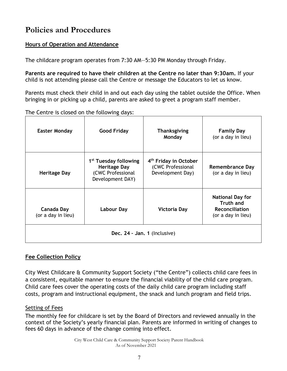# <span id="page-6-0"></span>**Policies and Procedures**

# <span id="page-6-1"></span>**Hours of Operation and Attendance**

The childcare program operates from 7:30 AM—5:30 PM Monday through Friday.

**Parents are required to have their children at the Centre no later than 9:30am.** If your child is not attending please call the Centre or message the Educators to let us know.

Parents must check their child in and out each day using the tablet outside the Office. When bringing in or picking up a child, parents are asked to greet a program staff member.

> **Family Day** (or a day in lieu)

| .                    |                    |                        |  |  |
|----------------------|--------------------|------------------------|--|--|
| <b>Easter Monday</b> | <b>Good Friday</b> | Thanksgiving<br>Monday |  |  |
|                      |                    |                        |  |  |

The Centre is closed on the following days:

| <b>Heritage Day</b>              | 1 <sup>st</sup> Tuesday following<br><b>Heritage Day</b><br>(CWC Professional<br>Development DAY) | 4 <sup>th</sup> Friday in October<br>(CWC Professional<br>Development Day) | Remembrance Day<br>(or a day in lieu)                                                      |  |  |
|----------------------------------|---------------------------------------------------------------------------------------------------|----------------------------------------------------------------------------|--------------------------------------------------------------------------------------------|--|--|
| Canada Day<br>(or a day in lieu) | Labour Day                                                                                        | <b>Victoria Day</b>                                                        | <b>National Day for</b><br><b>Truth and</b><br><b>Reconciliation</b><br>(or a day in lieu) |  |  |
| Dec. 24 - Jan. 1 (Inclusive)     |                                                                                                   |                                                                            |                                                                                            |  |  |

# <span id="page-6-2"></span>**Fee Collection Policy**

City West Childcare & Community Support Society ("the Centre") collects child care fees in a consistent, equitable manner to ensure the financial viability of the child care program. Child care fees cover the operating costs of the daily child care program including staff costs, program and instructional equipment, the snack and lunch program and field trips.

# <span id="page-6-3"></span>Setting of Fees

The monthly fee for childcare is set by the Board of Directors and reviewed annually in the context of the Society's yearly financial plan. Parents are informed in writing of changes to fees 60 days in advance of the change coming into effect.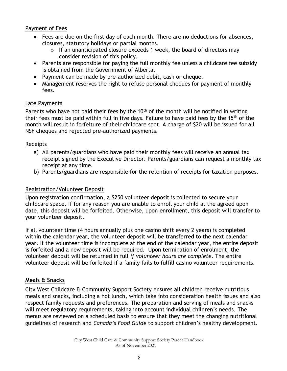#### <span id="page-7-0"></span>Payment of Fees

- Fees are due on the first day of each month. There are no deductions for absences, closures, statutory holidays or partial months.
	- $\circ$  If an unanticipated closure exceeds 1 week, the board of directors may consider revision of this policy.
- Parents are responsible for paying the full monthly fee unless a childcare fee subsidy is obtained from the Government of Alberta.
- Payment can be made by pre-authorized debit, cash or cheque.
- Management reserves the right to refuse personal cheques for payment of monthly fees.

#### <span id="page-7-1"></span>Late Payments

Parents who have not paid their fees by the  $10<sup>th</sup>$  of the month will be notified in writing their fees must be paid within full in five days. Failure to have paid fees by the 15<sup>th</sup> of the month will result in forfeiture of their childcare spot. A charge of \$20 will be issued for all NSF cheques and rejected pre-authorized payments.

#### <span id="page-7-2"></span>Receipts

- a) All parents/guardians who have paid their monthly fees will receive an annual tax receipt signed by the Executive Director. Parents/guardians can request a monthly tax receipt at any time.
- b) Parents/guardians are responsible for the retention of receipts for taxation purposes.

#### <span id="page-7-3"></span>Registration/Volunteer Deposit

Upon registration confirmation, a \$250 volunteer deposit is collected to secure your childcare space. If for any reason you are unable to enroll your child at the agreed upon date, this deposit will be forfeited. Otherwise, upon enrollment, this deposit will transfer to your volunteer deposit.

If all volunteer time (4 hours annually plus one casino shift every 2 years) is completed within the calendar year, the volunteer deposit will be transferred to the next calendar year. If the volunteer time is incomplete at the end of the calendar year, the entire deposit is forfeited and a new deposit will be required. Upon termination of enrolment, the volunteer deposit will be returned in full *if volunteer hours are complete*. The entire volunteer deposit will be forfeited if a family fails to fulfill casino volunteer requirements.

#### <span id="page-7-4"></span>**Meals & Snacks**

City West Childcare & Community Support Society ensures all children receive nutritious meals and snacks, including a hot lunch, which take into consideration health issues and also respect family requests and preferences. The preparation and serving of meals and snacks will meet regulatory requirements, taking into account individual children's needs. The menus are reviewed on a scheduled basis to ensure that they meet the changing nutritional guidelines of research and *Canada's Food Guide* to support children's healthy development.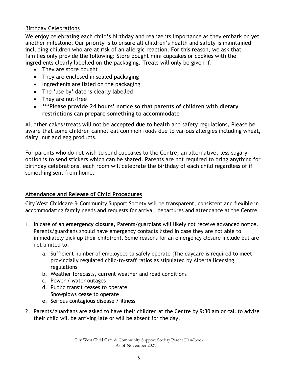#### <span id="page-8-0"></span>Birthday Celebrations

We enjoy celebrating each child's birthday and realize its importance as they embark on yet another milestone. Our priority is to ensure all children's health and safety is maintained including children who are at risk of an allergic reaction. For this reason, we ask that families only provide the following: Store bought mini cupcakes or cookies with the ingredients clearly labelled on the packaging. Treats will only be given if:

- They are store bought
- They are enclosed in sealed packaging
- Ingredients are listed on the packaging
- The 'use by' date is clearly labelled
- They are nut-free
- **\*\*\*Please provide 24 hours' notice so that parents of children with dietary restrictions can prepare something to accommodate**

All other cakes/treats will not be accepted due to health and safety regulations**.** Please be aware that some children cannot eat common foods due to various allergies including wheat, dairy, nut and egg products.

For parents who do not wish to send cupcakes to the Centre, an alternative, less sugary option is to send stickers which can be shared. Parents are not required to bring anything for birthday celebrations, each room will celebrate the birthday of each child regardless of if something sent from home.

# <span id="page-8-1"></span>**Attendance and Release of Child Procedures**

City West Childcare & Community Support Society will be transparent, consistent and flexible in accommodating family needs and requests for arrival, departures and attendance at the Centre.

- 1. In case of an **emergency closure**, Parents/guardians will likely not receive advanced notice. Parents/guardians should have emergency contacts listed in case they are not able to immediately pick up their child(ren). Some reasons for an emergency closure include but are not limited to:
	- a. Sufficient number of employees to safely operate (The daycare is required to meet provincially regulated child-to-staff ratios as stipulated by Alberta licensing regulations
	- b. Weather forecasts, current weather and road conditions
	- c. Power / water outages
	- d. Public transit ceases to operate Snowplows cease to operate
	- e. Serious contagious disease / illness
- 2. Parents/guardians are asked to have their children at the Centre by 9:30 am or call to advise their child will be arriving late or will be absent for the day.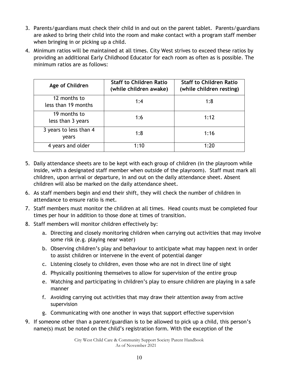- 3. Parents/guardians must check their child in and out on the parent tablet. Parents/guardians are asked to bring their child into the room and make contact with a program staff member when bringing in or picking up a child.
- 4. Minimum ratios will be maintained at all times. City West strives to exceed these ratios by providing an additional Early Childhood Educator for each room as often as is possible. The minimum ratios are as follows:

| Age of Children                     | <b>Staff to Children Ratio</b><br>(while children awake) | <b>Staff to Children Ratio</b><br>(while children resting) |
|-------------------------------------|----------------------------------------------------------|------------------------------------------------------------|
| 12 months to<br>less than 19 months | 1:4                                                      | 1:8                                                        |
| 19 months to<br>less than 3 years   | 1:6                                                      | 1:12                                                       |
| 3 years to less than 4<br>vears     | 1:8                                                      | 1:16                                                       |
| 4 years and older                   | 1:10                                                     | 1:20                                                       |

- 5. Daily attendance sheets are to be kept with each group of children (in the playroom while inside, with a designated staff member when outside of the playroom). Staff must mark all children, upon arrival or departure, in and out on the daily attendance sheet. Absent children will also be marked on the daily attendance sheet.
- 6. As staff members begin and end their shift, they will check the number of children in attendance to ensure ratio is met.
- 7. Staff members must monitor the children at all times. Head counts must be completed four times per hour in addition to those done at times of transition.
- 8. Staff members will monitor children effectively by:
	- a. Directing and closely monitoring children when carrying out activities that may involve some risk (e.g. playing near water)
	- b. Observing children's play and behaviour to anticipate what may happen next in order to assist children or intervene in the event of potential danger
	- c. Listening closely to children, even those who are not in direct line of sight
	- d. Physically positioning themselves to allow for supervision of the entire group
	- e. Watching and participating in children's play to ensure children are playing in a safe manner
	- f. Avoiding carrying out activities that may draw their attention away from active supervision
	- g. Communicating with one another in ways that support effective supervision
- 9. If someone other than a parent/guardian is to be allowed to pick up a child, this person's name(s) must be noted on the child's registration form. With the exception of the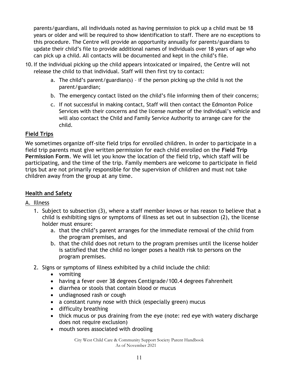parents/guardians, all individuals noted as having permission to pick up a child must be 18 years or older and will be required to show identification to staff. There are no exceptions to this procedure. The Centre will provide an opportunity annually for parents/guardians to update their child's file to provide additional names of individuals over 18 years of age who can pick up a child. All contacts will be documented and kept in the child's file.

- 10.If the individual picking up the child appears intoxicated or impaired, the Centre will not release the child to that individual. Staff will then first try to contact:
	- a. The child's parent/guardian(s) if the person picking up the child is not the parent/guardian;
	- b. The emergency contact listed on the child's file informing them of their concerns;
	- c. If not successful in making contact, Staff will then contact the Edmonton Police Services with their concerns and the license number of the individual's vehicle and will also contact the Child and Family Service Authority to arrange care for the child.

# <span id="page-10-0"></span>**Field Trips**

We sometimes organize off-site field trips for enrolled children. In order to participate in a field trip parents must give written permission for each child enrolled on the **Field Trip Permission Form**. We will let you know the location of the field trip, which staff will be participating, and the time of the trip. Family members are welcome to participate in field trips but are not primarily responsible for the supervision of children and must not take children away from the group at any time.

# <span id="page-10-1"></span>**Health and Safety**

#### <span id="page-10-2"></span>A. Illness

- 1. Subject to subsection (3), where a staff member knows or has reason to believe that a child is exhibiting signs or symptoms of illness as set out in subsection (2), the license holder must ensure:
	- a. that the child's parent arranges for the immediate removal of the child from the program premises, and
	- b. that the child does not return to the program premises until the license holder is satisfied that the child no longer poses a health risk to persons on the program premises.
- 2. Signs or symptoms of illness exhibited by a child include the child:
	- vomiting
	- having a fever over 38 degrees Centigrade/100.4 degrees Fahrenheit
	- diarrhea or stools that contain blood or mucus
	- undiagnosed rash or cough
	- a constant runny nose with thick (especially green) mucus
	- difficulty breathing
	- thick mucus or pus draining from the eye (note: red eye with watery discharge does not require exclusion)
	- mouth sores associated with drooling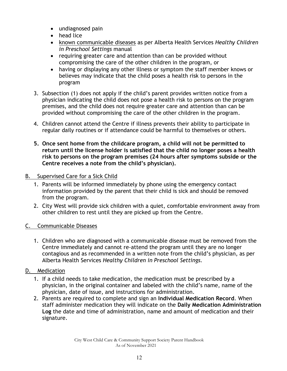- undiagnosed pain
- head lice
- known communicable diseases as per Alberta Health Services *Healthy Children in Preschool Settings* manual
- requiring greater care and attention than can be provided without compromising the care of the other children in the program, or
- having or displaying any other illness or symptom the staff member knows or believes may indicate that the child poses a health risk to persons in the program
- 3. Subsection (1) does not apply if the child's parent provides written notice from a physician indicating the child does not pose a health risk to persons on the program premises, and the child does not require greater care and attention than can be provided without compromising the care of the other children in the program.
- 4. Children cannot attend the Centre if illness prevents their ability to participate in regular daily routines or if attendance could be harmful to themselves or others.
- **5. Once sent home from the childcare program, a child will not be permitted to return until the license holder is satisfied that the child no longer poses a health risk to persons on the program premises (24 hours after symptoms subside or the Centre receives a note from the child's physician).**
- <span id="page-11-0"></span>B. Supervised Care for a Sick Child
	- 1. Parents will be informed immediately by phone using the emergency contact information provided by the parent that their child is sick and should be removed from the program.
	- 2. City West will provide sick children with a quiet, comfortable environment away from other children to rest until they are picked up from the Centre.

# <span id="page-11-1"></span>C. Communicable Diseases

- 1. Children who are diagnosed with a communicable disease must be removed from the Centre immediately and cannot re-attend the program until they are no longer contagious and as recommended in a written note from the child's physician, as per Alberta Health Services *Healthy Children in Preschool Settings.*
- <span id="page-11-2"></span>D. Medication
	- 1. If a child needs to take medication, the medication must be prescribed by a physician, in the original container and labeled with the child's name, name of the physician, date of issue, and instructions for administration.
	- 2. Parents are required to complete and sign an **Individual Medication Record**. When staff administer medication they will indicate on the **Daily Medication Administration Log** the date and time of administration, name and amount of medication and their signature.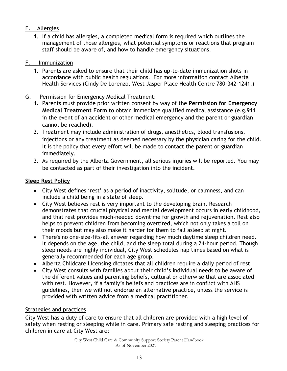# <span id="page-12-0"></span>E. Allergies

1. If a child has allergies, a completed medical form is required which outlines the management of those allergies, what potential symptoms or reactions that program staff should be aware of, and how to handle emergency situations.

#### <span id="page-12-1"></span>F. Immunization

1. Parents are asked to ensure that their child has up-to-date immunization shots in accordance with public health regulations. For more information contact Alberta Health Services (Cindy De Lorenzo, West Jasper Place Health Centre 780-342-1241.)

### G. Permission for Emergency Medical Treatment:

- 1. Parents must provide prior written consent by way of the **Permission for Emergency Medical Treatment Form** to obtain immediate qualified medical assistance (e.g.911 in the event of an accident or other medical emergency and the parent or guardian cannot be reached).
- 2. Treatment may include administration of drugs, anesthetics, blood transfusions, injections or any treatment as deemed necessary by the physician caring for the child. It is the policy that every effort will be made to contact the parent or guardian immediately.
- 3. As required by the Alberta Government, all serious injuries will be reported. You may be contacted as part of their investigation into the incident.

### <span id="page-12-2"></span>**Sleep Rest Policy**

- City West defines 'rest' as a period of inactivity, solitude, or calmness, and can include a child being in a state of sleep.
- City West believes rest is very important to the developing brain. Research demonstrates that crucial physical and mental development occurs in early childhood, and that rest provides much-needed downtime for growth and rejuvenation. Rest also helps to prevent children from becoming overtired, which not only takes a toll on their moods but may also make it harder for them to fall asleep at night.
- There's no one-size-fits-all answer regarding how much daytime sleep children need. It depends on the age, the child, and the sleep total during a 24-hour period. Though sleep needs are highly individual, City West schedules nap times based on what is generally recommended for each age group.
- Alberta Childcare Licensing dictates that all children require a daily period of rest.
- City West consults with families about their child's individual needs to be aware of the different values and parenting beliefs, cultural or otherwise that are associated with rest. However, if a family's beliefs and practices are in conflict with AHS guidelines, then we will not endorse an alternative practice, unless the service is provided with written advice from a medical practitioner.

#### <span id="page-12-3"></span>Strategies and practices

City West has a duty of care to ensure that all children are provided with a high level of safety when resting or sleeping while in care. Primary safe resting and sleeping practices for children in care at City West are: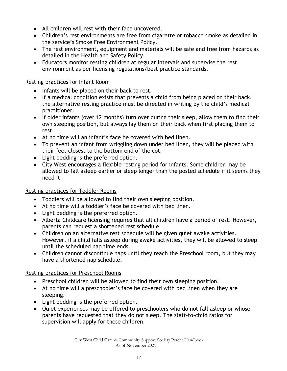- All children will rest with their face uncovered.
- Children's rest environments are free from cigarette or tobacco smoke as detailed in the service's Smoke Free Environment Policy.
- The rest environment, equipment and materials will be safe and free from hazards as detailed in the Health and Safety Policy.
- Educators monitor resting children at regular intervals and supervise the rest environment as per licensing regulations/best practice standards.

#### <span id="page-13-0"></span>Resting practices for Infant Room

- Infants will be placed on their back to rest.
- If a medical condition exists that prevents a child from being placed on their back, the alternative resting practice must be directed in writing by the child's medical practitioner.
- If older infants (over 12 months) turn over during their sleep, allow them to find their own sleeping position, but always lay them on their back when first placing them to rest.
- At no time will an infant's face be covered with bed linen.
- To prevent an infant from wriggling down under bed linen, they will be placed with their feet closest to the bottom end of the cot.
- Light bedding is the preferred option.
- City West encourages a flexible resting period for infants. Some children may be allowed to fall asleep earlier or sleep longer than the posted schedule if it seems they need it.

#### <span id="page-13-1"></span>Resting practices for Toddler Rooms

- Toddlers will be allowed to find their own sleeping position.
- At no time will a toddler's face be covered with bed linen.
- Light bedding is the preferred option.
- Alberta Childcare licensing requires that all children have a period of rest. However, parents can request a shortened rest schedule.
- Children on an alternative rest schedule will be given quiet awake activities. However, if a child falls asleep during awake activities, they will be allowed to sleep until the scheduled nap time ends.
- Children cannot discontinue naps until they reach the Preschool room, but they may have a shortened nap schedule.

#### <span id="page-13-2"></span>Resting practices for Preschool Rooms

- Preschool children will be allowed to find their own sleeping position.
- At no time will a preschooler's face be covered with bed linen when they are sleeping.
- Light bedding is the preferred option.
- Quiet experiences may be offered to preschoolers who do not fall asleep or whose parents have requested that they do not sleep. The staff-to-child ratios for supervision will apply for these children.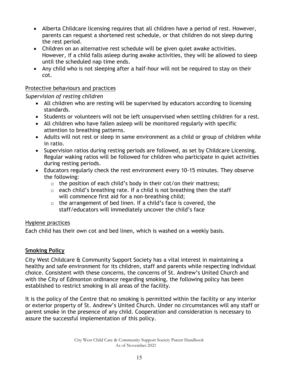- Alberta Childcare licensing requires that all children have a period of rest. However, parents can request a shortened rest schedule, or that children do not sleep during the rest period.
- Children on an alternative rest schedule will be given quiet awake activities. However, if a child falls asleep during awake activities, they will be allowed to sleep until the scheduled nap time ends.
- Any child who is not sleeping after a half-hour will not be required to stay on their cot.

### <span id="page-14-0"></span>Protective behaviours and practices

*Supervision of resting children*

- All children who are resting will be supervised by educators according to licensing standards.
- Students or volunteers will not be left unsupervised when settling children for a rest.
- All children who have fallen asleep will be monitored regularly with specific attention to breathing patterns.
- Adults will not rest or sleep in same environment as a child or group of children while in ratio.
- Supervision ratios during resting periods are followed, as set by Childcare Licensing. Regular waking ratios will be followed for children who participate in quiet activities during resting periods.
- Educators regularly check the rest environment every 10-15 minutes. They observe the following:
	- $\circ$  the position of each child's body in their cot/on their mattress;
	- $\circ$  each child's breathing rate. If a child is not breathing then the staff will commence first aid for a non-breathing child;
	- o the arrangement of bed linen. If a child's face is covered, the staff/educators will immediately uncover the child's face

# <span id="page-14-1"></span>Hygiene practices

Each child has their own cot and bed linen, which is washed on a weekly basis.

# <span id="page-14-2"></span>**Smoking Policy**

City West Childcare & Community Support Society has a vital interest in maintaining a healthy and safe environment for its children, staff and parents while respecting individual choice. Consistent with these concerns, the concerns of St. Andrew's United Church and with the City of Edmonton ordinance regarding smoking, the following policy has been established to restrict smoking in all areas of the facility.

It is the policy of the Centre that no smoking is permitted within the facility or any interior or exterior property of St. Andrew's United Church. Under no circumstances will any staff or parent smoke in the presence of any child. Cooperation and consideration is necessary to assure the successful implementation of this policy.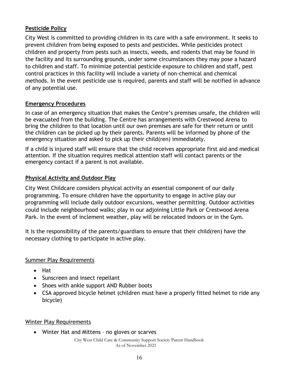# <span id="page-15-0"></span>**Pesticide Policy**

City West is committed to providing children in its care with a safe environment. It seeks to prevent children from being exposed to pests and pesticides. While pesticides protect children and property from pests such as insects, weeds, and rodents that may be found in the facility and its surrounding grounds, under some circumstances they may pose a hazard to children and staff. To minimize potential pesticide exposure to children and staff, pest control practices in this facility will include a variety of non-chemical and chemical methods. In the event pesticide use is required, parents and staff will be notified in advance of any potential use.

### <span id="page-15-1"></span>**Emergency Procedures**

In case of an emergency situation that makes the Centre's premises unsafe, the children will be evacuated from the building. The Centre has arrangements with Crestwood Arena to bring the children to that location until our own premises are safe for their return or until the children can be picked up by their parents. Parents will be informed by phone of the emergency situation and asked to pick up their child(ren) immediately.

If a child is injured staff will ensure that the child receives appropriate first aid and medical attention. If the situation requires medical attention staff will contact parents or the emergency contact if a parent is not available.

### <span id="page-15-2"></span>**Physical Activity and Outdoor Play**

City West Childcare considers physical activity an essential component of our daily programming. To ensure children have the opportunity to engage in active play our programming will include daily outdoor excursions, weather permitting. Outdoor activities could include neighbourhood walks; play in our adjoining Little Park or Crestwood Arena Park. In the event of inclement weather, play will be relocated indoors or in the Gym.

It is the responsibility of the parents/guardians to ensure that their child(ren) have the necessary clothing to participate in active play.

#### Summer Play Requirements

- Hat
- Sunscreen and insect repellant
- Shoes with ankle support AND Rubber boots
- CSA approved bicycle helmet (children must have a properly fitted helmet to ride any bicycle)

#### Winter Play Requirements

Winter Hat and Mittens – no gloves or scarves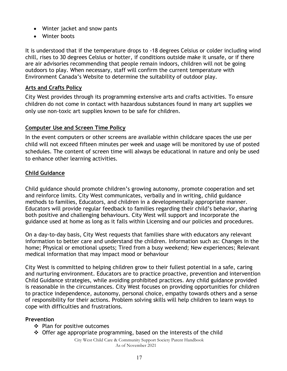- Winter jacket and snow pants
- Winter boots

It is understood that if the temperature drops to -18 degrees Celsius or colder including wind chill, rises to 30 degrees Celsius or hotter, if conditions outside make it unsafe, or if there are air advisories recommending that people remain indoors, children will not be going outdoors to play. When necessary, staff will confirm the current temperature with Environment Canada's Website to determine the suitability of outdoor play.

## **Arts and Crafts Policy**

City West provides through its programming extensive arts and crafts activities. To ensure children do not come in contact with hazardous substances found in many art supplies we only use non-toxic art supplies known to be safe for children.

### **Computer Use and Screen Time Policy**

In the event computers or other screens are available within childcare spaces the use per child will not exceed fifteen minutes per week and usage will be monitored by use of posted schedules. The content of screen time will always be educational in nature and only be used to enhance other learning activities.

# <span id="page-16-0"></span>**Child Guidance**

Child guidance should promote children's growing autonomy, promote cooperation and set and reinforce limits. City West communicates, verbally and in writing, child guidance methods to families, Educators, and children in a developmentally appropriate manner. Educators will provide regular feedback to families regarding their child's behavior, sharing both positive and challenging behaviours. City West will support and incorporate the guidance used at home as long as it falls within Licensing and our policies and procedures.

On a day-to-day basis, City West requests that families share with educators any relevant information to better care and understand the children. Information such as: Changes in the home; Physical or emotional upsets; Tired from a busy weekend; New experiences; Relevant medical information that may impact mood or behaviour

City West is committed to helping children grow to their fullest potential in a safe, caring and nurturing environment. Educators are to practice proactive, prevention and intervention Child Guidance strategies, while avoiding prohibited practices. Any child guidance provided is reasonable in the circumstances. City West focuses on providing opportunities for children to practice independence, autonomy, personal choice, empathy towards others and a sense of responsibility for their actions. Problem solving skills will help children to learn ways to cope with difficulties and frustrations.

#### **Prevention**

- $\div$  Plan for positive outcomes
- $\div$  Offer age appropriate programming, based on the interests of the child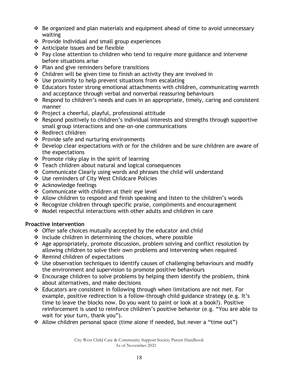- $\cdot$  Be organized and plan materials and equipment ahead of time to avoid unnecessary waiting
- ❖ Provide individual and small group experiences
- $\triangle$  Anticipate issues and be flexible
- Pay close attention to children who tend to require more guidance and intervene before situations arise
- $\div$  Plan and give reminders before transitions
- $\triangle$  Children will be given time to finish an activity they are involved in
- $\div$  Use proximity to help prevent situations from escalating
- $\triangleleft$  Educators foster strong emotional attachments with children, communicating warmth and acceptance through verbal and nonverbal reassuring behaviours
- $\cdot$  Respond to children's needs and cues in an appropriate, timely, caring and consistent manner
- $\div$  Project a cheerful, playful, professional attitude
- Respond positively to children's individual interests and strengths through supportive small group interactions and one-on-one communications
- ❖ Redirect children
- ❖ Provide safe and nurturing environments
- Develop clear expectations with or for the children and be sure children are aware of the expectations
- $\div$  Promote risky play in the spirit of learning
- Teach children about natural and logical consequences
- Communicate Clearly using words and phrases the child will understand
- Use reminders of City West Childcare Policies
- Acknowledge feelings
- ❖ Communicate with children at their eve level
- ◆ Allow children to respond and finish speaking and listen to the children's words
- Recognize children through specific praise, compliments and encouragement
- Model respectful interactions with other adults and children in care

# **Proactive Intervention**

- Offer safe choices mutually accepted by the educator and child
- $\div$  Include children in determining the choices, where possible
- Age appropriately, promote discussion, problem solving and conflict resolution by allowing children to solve their own problems and intervening when required
- $\div$  Remind children of expectations
- $\div$  Use observation techniques to identify causes of challenging behaviours and modify the environment and supervision to promote positive behaviours
- $\div$  Encourage children to solve problems by helping them identify the problem, think about alternatives, and make decisions
- Educators are consistent in following through when limitations are not met. For example, positive redirection is a follow-through child guidance strategy (e.g. It's time to leave the blocks now. Do you want to paint or look at a book?). Positive reinforcement is used to reinforce children's positive behavior (e.g. "You are able to wait for your turn, thank you").
- \* Allow children personal space (time alone if needed, but never a "time out")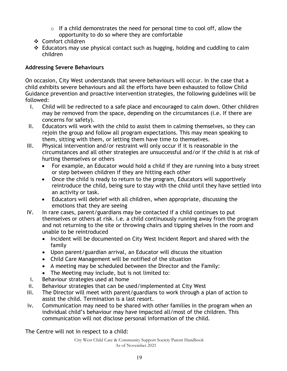- $\circ$  If a child demonstrates the need for personal time to cool off, allow the opportunity to do so where they are comfortable
- ❖ Comfort children
- $\div$  Educators may use physical contact such as hugging, holding and cuddling to calm children

# **Addressing Severe Behaviours**

On occasion, City West understands that severe behaviours will occur. In the case that a child exhibits severe behaviours and all the efforts have been exhausted to follow Child Guidance prevention and proactive intervention strategies, the following guidelines will be followed:

- I. Child will be redirected to a safe place and encouraged to calm down. Other children may be removed from the space, depending on the circumstances (i.e. If there are concerns for safety).
- II. Educators will work with the child to assist them in calming themselves, so they can rejoin the group and follow all program expectations. This may mean speaking to them, sitting with them, or letting them have time to themselves.
- III. Physical intervention and/or restraint will only occur if it is reasonable in the circumstances and all other strategies are unsuccessful and/or if the child is at risk of hurting themselves or others
	- For example, an Educator would hold a child if they are running into a busy street or step between children if they are hitting each other
	- Once the child is ready to return to the program, Educators will supportively reintroduce the child, being sure to stay with the child until they have settled into an activity or task.
	- Educators will debrief with all children, when appropriate, discussing the emotions that they are seeing
- IV. In rare cases, parent/guardians may be contacted if a child continues to put themselves or others at risk. i.e. a child continuously running away from the program and not returning to the site or throwing chairs and tipping shelves in the room and unable to be reintroduced
	- Incident will be documented on City West Incident Report and shared with the family
	- Upon parent/guardian arrival, an Educator will discuss the situation
	- Child Care Management will be notified of the situation
	- A meeting may be scheduled between the Director and the Family:
	- The Meeting may include, but is not limited to:
- i. Behaviour strategies used at home
- ii. Behaviour strategies that can be used/implemented at City West
- iii. The Director will meet with parent/guardians to work through a plan of action to assist the child. Termination is a last resort.
- iv. Communication may need to be shared with other families in the program when an individual child's behaviour may have impacted all/most of the children. This communication will not disclose personal information of the child.

The Centre will not in respect to a child: